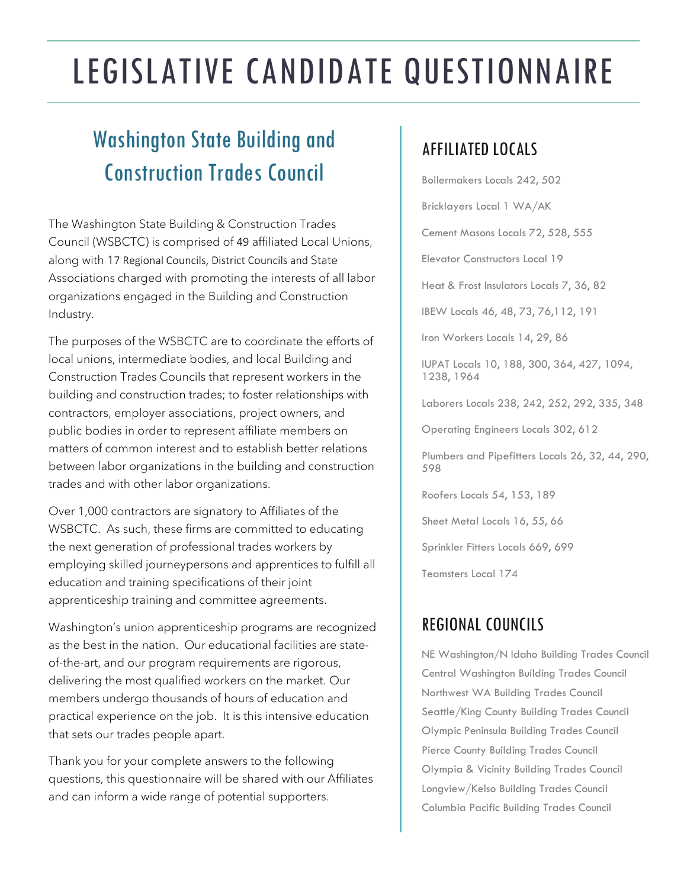# LEGISLATIVE CANDIDATE QUESTIONNAIRE

## Washington State Building and Construction Trades Council

The Washington State Building & Construction Trades Council (WSBCTC) is comprised of 49 affiliated Local Unions, along with 17 Regional Councils, District Councils and State Associations charged with promoting the interests of all labor organizations engaged in the Building and Construction Industry.

The purposes of the WSBCTC are to coordinate the efforts of local unions, intermediate bodies, and local Building and Construction Trades Councils that represent workers in the building and construction trades; to foster relationships with contractors, employer associations, project owners, and public bodies in order to represent affiliate members on matters of common interest and to establish better relations between labor organizations in the building and construction trades and with other labor organizations.

Over 1,000 contractors are signatory to Affiliates of the WSBCTC. As such, these firms are committed to educating the next generation of professional trades workers by employing skilled journeypersons and apprentices to fulfill all education and training specifications of their joint apprenticeship training and committee agreements.

Washington's union apprenticeship programs are recognized as the best in the nation. Our educational facilities are stateof-the-art, and our program requirements are rigorous, delivering the most qualified workers on the market. Our members undergo thousands of hours of education and practical experience on the job. It is this intensive education that sets our trades people apart.

Thank you for your complete answers to the following questions, this questionnaire will be shared with our Affiliates and can inform a wide range of potential supporters.

### AFFILIATED LOCALS

Boilermakers Locals 242, 502 Bricklayers Local 1 WA/AK Cement Masons Locals 72, 528, 555 Elevator Constructors Local 19 Heat & Frost Insulators Locals 7, 36, 82 IBEW Locals 46, 48, 73, 76,112, 191 Iron Workers Locals 14, 29, 86

IUPAT Locals 10, 188, 300, 364, 427, 1094, 1238, 1964

Laborers Locals 238, 242, 252, 292, 335, 348

Operating Engineers Locals 302, 612

Plumbers and Pipefitters Locals 26, 32, 44, 290, 598

Roofers Locals 54, 153, 189

Sheet Metal Locals 16, 55, 66

Sprinkler Fitters Locals 669, 699

Teamsters Local 174

#### REGIONAL COUNCILS

NE Washington/N Idaho Building Trades Council Central Washington Building Trades Council Northwest WA Building Trades Council Seattle/King County Building Trades Council Olympic Peninsula Building Trades Council Pierce County Building Trades Council Olympia & Vicinity Building Trades Council Longview/Kelso Building Trades Council Columbia Pacific Building Trades Council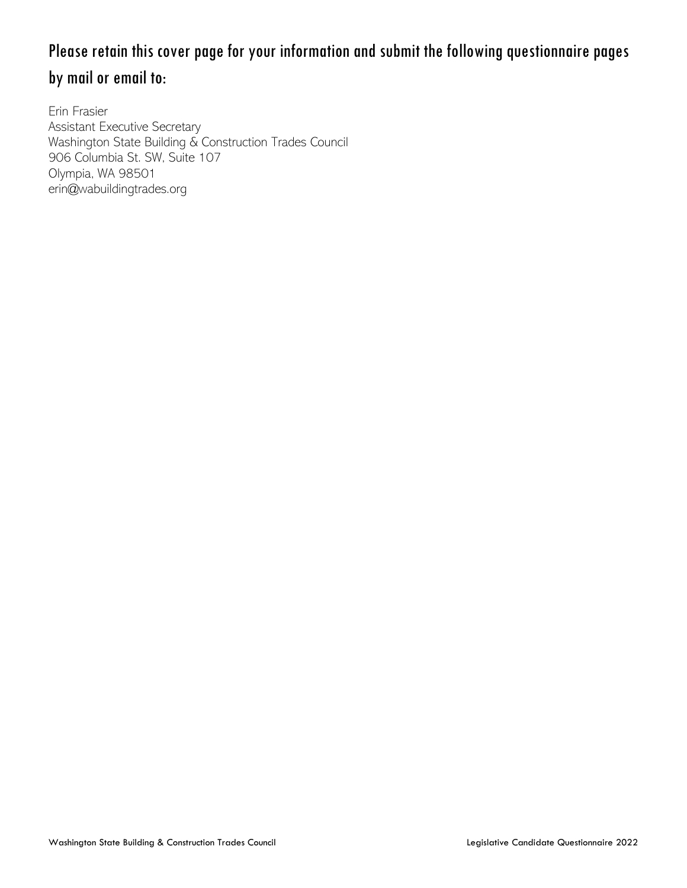## Please retain this cover page for your information and submit the following questionnaire pages by mail or email to:

Erin Frasier Assistant Executive Secretary Washington State Building & Construction Trades Council 906 Columbia St. SW, Suite 107 Olympia, WA 98501 erin@wabuildingtrades.org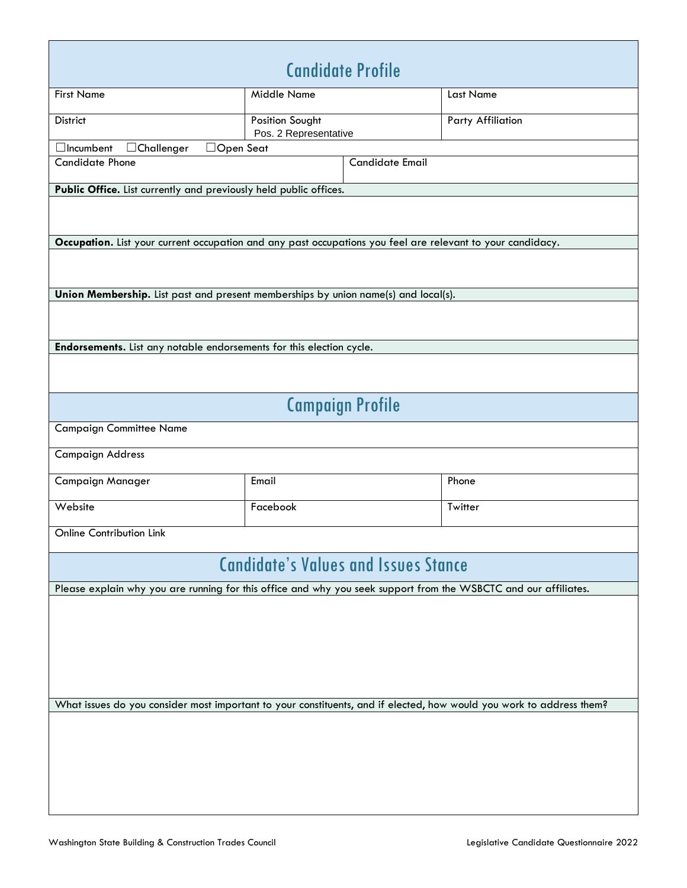| <b>Candidate Profile</b>                                                                                             |                                                                                                            |                          |  |  |  |  |  |  |
|----------------------------------------------------------------------------------------------------------------------|------------------------------------------------------------------------------------------------------------|--------------------------|--|--|--|--|--|--|
| <b>First Name</b>                                                                                                    | Middle Name                                                                                                | <b>Last Name</b>         |  |  |  |  |  |  |
| <b>District</b>                                                                                                      | Position Sought<br>Pos. 2 Representative                                                                   | <b>Party Affiliation</b> |  |  |  |  |  |  |
| $\Box$ Incumbent<br>$\Box$ Challenger<br>$\Box$ Open Seat                                                            |                                                                                                            |                          |  |  |  |  |  |  |
|                                                                                                                      | <b>Candidate Phone</b><br><b>Candidate Email</b>                                                           |                          |  |  |  |  |  |  |
| Public Office. List currently and previously held public offices.                                                    |                                                                                                            |                          |  |  |  |  |  |  |
|                                                                                                                      | Occupation. List your current occupation and any past occupations you feel are relevant to your candidacy. |                          |  |  |  |  |  |  |
|                                                                                                                      |                                                                                                            |                          |  |  |  |  |  |  |
|                                                                                                                      | Union Membership. List past and present memberships by union name(s) and local(s).                         |                          |  |  |  |  |  |  |
|                                                                                                                      |                                                                                                            |                          |  |  |  |  |  |  |
| Endorsements. List any notable endorsements for this election cycle.                                                 |                                                                                                            |                          |  |  |  |  |  |  |
|                                                                                                                      |                                                                                                            |                          |  |  |  |  |  |  |
|                                                                                                                      | <b>Campaign Profile</b>                                                                                    |                          |  |  |  |  |  |  |
| <b>Campaign Committee Name</b>                                                                                       |                                                                                                            |                          |  |  |  |  |  |  |
| <b>Campaign Address</b>                                                                                              |                                                                                                            |                          |  |  |  |  |  |  |
| <b>Campaign Manager</b>                                                                                              | Email                                                                                                      | Phone                    |  |  |  |  |  |  |
| Website                                                                                                              | Facebook                                                                                                   | Twitter                  |  |  |  |  |  |  |
| <b>Online Contribution Link</b>                                                                                      |                                                                                                            |                          |  |  |  |  |  |  |
| <b>Candidate's Values and Issues Stance</b>                                                                          |                                                                                                            |                          |  |  |  |  |  |  |
| Please explain why you are running for this office and why you seek support from the WSBCTC and our affiliates.      |                                                                                                            |                          |  |  |  |  |  |  |
|                                                                                                                      |                                                                                                            |                          |  |  |  |  |  |  |
| What issues do you consider most important to your constituents, and if elected, how would you work to address them? |                                                                                                            |                          |  |  |  |  |  |  |
|                                                                                                                      |                                                                                                            |                          |  |  |  |  |  |  |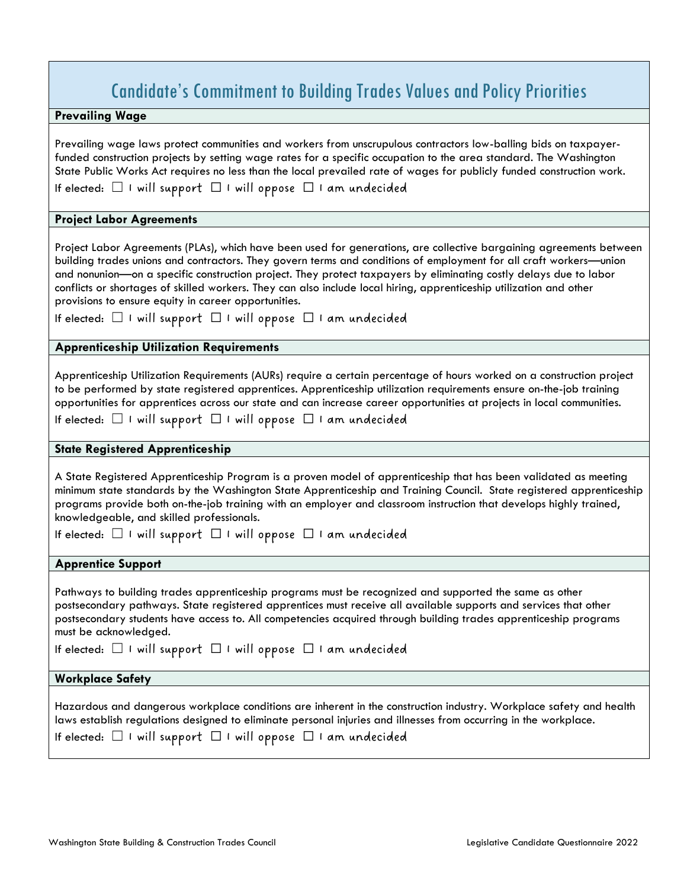| <b>Candidate's Commitment to Building Trades Values and Policy Priorities</b>                                                                                                                                                                                                                                                                                                                                                                                                                                                                                                                                                 |
|-------------------------------------------------------------------------------------------------------------------------------------------------------------------------------------------------------------------------------------------------------------------------------------------------------------------------------------------------------------------------------------------------------------------------------------------------------------------------------------------------------------------------------------------------------------------------------------------------------------------------------|
| <b>Prevailing Wage</b>                                                                                                                                                                                                                                                                                                                                                                                                                                                                                                                                                                                                        |
| Prevailing wage laws protect communities and workers from unscrupulous contractors low-balling bids on taxpayer-<br>funded construction projects by setting wage rates for a specific occupation to the area standard. The Washington<br>State Public Works Act requires no less than the local prevailed rate of wages for publicly funded construction work.<br>If elected: $\Box$ 1 will support $\Box$ 1 will oppose $\Box$ 1 am undecided                                                                                                                                                                                |
| <b>Project Labor Agreements</b>                                                                                                                                                                                                                                                                                                                                                                                                                                                                                                                                                                                               |
| Project Labor Agreements (PLAs), which have been used for generations, are collective bargaining agreements between<br>building trades unions and contractors. They govern terms and conditions of employment for all craft workers-union<br>and nonunion-on a specific construction project. They protect taxpayers by eliminating costly delays due to labor<br>conflicts or shortages of skilled workers. They can also include local hiring, apprenticeship utilization and other<br>provisions to ensure equity in career opportunities.<br>If elected: $\Box$ I will support $\Box$ I will oppose $\Box$ I am undecided |
| <b>Apprenticeship Utilization Requirements</b>                                                                                                                                                                                                                                                                                                                                                                                                                                                                                                                                                                                |
| Apprenticeship Utilization Requirements (AURs) require a certain percentage of hours worked on a construction project<br>to be performed by state registered apprentices. Apprenticeship utilization requirements ensure on-the-job training<br>opportunities for apprentices across our state and can increase career opportunities at projects in local communities.<br>If elected: $\Box$ 1 will support $\Box$ 1 will oppose $\Box$ 1 am undecided                                                                                                                                                                        |
| <b>State Registered Apprenticeship</b>                                                                                                                                                                                                                                                                                                                                                                                                                                                                                                                                                                                        |
| A State Registered Apprenticeship Program is a proven model of apprenticeship that has been validated as meeting<br>minimum state standards by the Washington State Apprenticeship and Training Council. State registered apprenticeship<br>programs provide both on-the-job training with an employer and classroom instruction that develops highly trained,<br>knowledgeable, and skilled professionals.<br>If elected: $\Box$ I will support $\Box$ I will oppose $\Box$ I am undecided                                                                                                                                   |
| <b>Apprentice Support</b>                                                                                                                                                                                                                                                                                                                                                                                                                                                                                                                                                                                                     |
| Pathways to building trades apprenticeship programs must be recognized and supported the same as other<br>postsecondary pathways. State registered apprentices must receive all available supports and services that other<br>postsecondary students have access to. All competencies acquired through building trades apprenticeship programs<br>must be acknowledged.<br>If elected: $\Box$ I will support $\Box$ I will oppose $\Box$ I am undecided                                                                                                                                                                       |
| <b>Workplace Safety</b>                                                                                                                                                                                                                                                                                                                                                                                                                                                                                                                                                                                                       |
| Hazardous and dangerous workplace conditions are inherent in the construction industry. Workplace safety and health<br>laws establish regulations designed to eliminate personal injuries and illnesses from occurring in the workplace.<br>If elected: $\Box$ I will support $\Box$ I will oppose $\Box$ I am undecided                                                                                                                                                                                                                                                                                                      |

 $\overline{\phantom{a}}$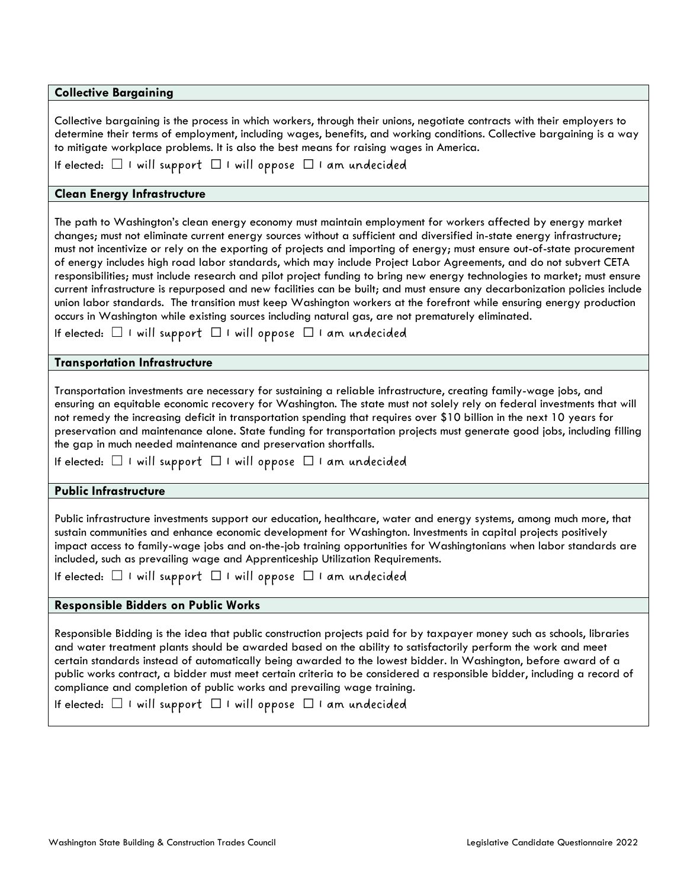| <b>Collective Bargaining</b>                                                                                                                                                                                                                                                                                                                                                                                                                                                                                                                                                                                                                                                                                                                                                                                                                                                                                                                                                                                                                                     |
|------------------------------------------------------------------------------------------------------------------------------------------------------------------------------------------------------------------------------------------------------------------------------------------------------------------------------------------------------------------------------------------------------------------------------------------------------------------------------------------------------------------------------------------------------------------------------------------------------------------------------------------------------------------------------------------------------------------------------------------------------------------------------------------------------------------------------------------------------------------------------------------------------------------------------------------------------------------------------------------------------------------------------------------------------------------|
| Collective bargaining is the process in which workers, through their unions, negotiate contracts with their employers to<br>determine their terms of employment, including wages, benefits, and working conditions. Collective bargaining is a way<br>to mitigate workplace problems. It is also the best means for raising wages in America.<br>If elected: $\Box$ I will support $\Box$ I will oppose $\Box$ I am undecided                                                                                                                                                                                                                                                                                                                                                                                                                                                                                                                                                                                                                                    |
| <b>Clean Energy Infrastructure</b>                                                                                                                                                                                                                                                                                                                                                                                                                                                                                                                                                                                                                                                                                                                                                                                                                                                                                                                                                                                                                               |
| The path to Washington's clean energy economy must maintain employment for workers affected by energy market<br>changes; must not eliminate current energy sources without a sufficient and diversified in-state energy infrastructure;<br>must not incentivize or rely on the exporting of projects and importing of energy; must ensure out-of-state procurement<br>of energy includes high road labor standards, which may include Project Labor Agreements, and do not subvert CETA<br>responsibilities; must include research and pilot project funding to bring new energy technologies to market; must ensure<br>current infrastructure is repurposed and new facilities can be built; and must ensure any decarbonization policies include<br>union labor standards. The transition must keep Washington workers at the forefront while ensuring energy production<br>occurs in Washington while existing sources including natural gas, are not prematurely eliminated.<br>If elected: $\Box$ I will support $\Box$ I will oppose $\Box$ I am undecided |
| <b>Transportation Infrastructure</b>                                                                                                                                                                                                                                                                                                                                                                                                                                                                                                                                                                                                                                                                                                                                                                                                                                                                                                                                                                                                                             |
| Transportation investments are necessary for sustaining a reliable infrastructure, creating family-wage jobs, and<br>ensuring an equitable economic recovery for Washington. The state must not solely rely on federal investments that will<br>not remedy the increasing deficit in transportation spending that requires over \$10 billion in the next 10 years for<br>preservation and maintenance alone. State funding for transportation projects must generate good jobs, including filling<br>the gap in much needed maintenance and preservation shortfalls.<br>If elected: $\Box$ I will support $\Box$ I will oppose $\Box$ I am undecided                                                                                                                                                                                                                                                                                                                                                                                                             |
| <b>Public Infrastructure</b>                                                                                                                                                                                                                                                                                                                                                                                                                                                                                                                                                                                                                                                                                                                                                                                                                                                                                                                                                                                                                                     |
| Public infrastructure investments support our education, healthcare, water and energy systems, among much more, that<br>sustain communities and enhance economic development for Washington. Investments in capital projects positively<br>impact access to family-wage jobs and on-the-job training opportunities for Washingtonians when labor standards are<br>included, such as prevailing wage and Apprenticeship Utilization Requirements.<br>If elected: $\Box$ I will support $\Box$ I will oppose $\Box$ I am undecided                                                                                                                                                                                                                                                                                                                                                                                                                                                                                                                                 |
| <b>Responsible Bidders on Public Works</b>                                                                                                                                                                                                                                                                                                                                                                                                                                                                                                                                                                                                                                                                                                                                                                                                                                                                                                                                                                                                                       |
| Responsible Bidding is the idea that public construction projects paid for by taxpayer money such as schools, libraries<br>and water treatment plants should be awarded based on the ability to satisfactorily perform the work and meet<br>certain standards instead of automatically being awarded to the lowest bidder. In Washington, before award of a<br>public works contract, a bidder must meet certain criteria to be considered a responsible bidder, including a record of<br>compliance and completion of public works and prevailing wage training.<br>If elected: $\Box$ I will support $\Box$ I will oppose $\Box$ I am undecided                                                                                                                                                                                                                                                                                                                                                                                                                |